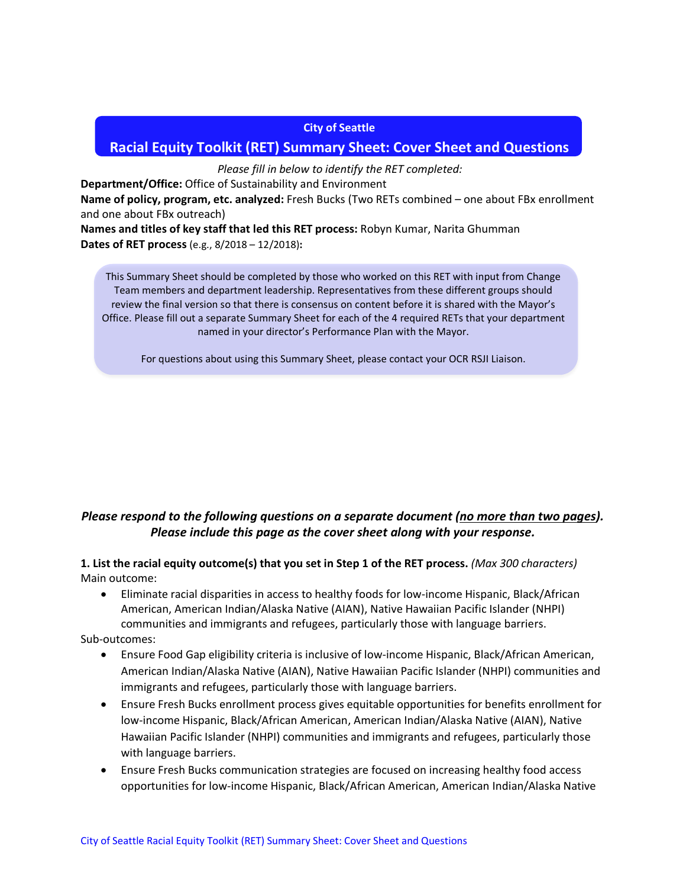#### **City of Seattle**

# **Racial Equity Toolkit (RET) Summary Sheet: Cover Sheet and Questions**

*Please fill in below to identify the RET completed:*

**Department/Office:** Office of Sustainability and Environment

**Name of policy, program, etc. analyzed:** Fresh Bucks (Two RETs combined – one about FBx enrollment and one about FBx outreach)

**Names and titles of key staff that led this RET process:** Robyn Kumar, Narita Ghumman **Dates of RET process** (e.g., 8/2018 – 12/2018)**:**

This Summary Sheet should be completed by those who worked on this RET with input from Change Team members and department leadership. Representatives from these different groups should review the final version so that there is consensus on content before it is shared with the Mayor's Office. Please fill out a separate Summary Sheet for each of the 4 required RETs that your department named in your director's Performance Plan with the Mayor.

For questions about using this Summary Sheet, please contact your OCR RSJI Liaison.

## *Please respond to the following questions on a separate document (no more than two pages). Please include this page as the cover sheet along with your response.*

**1. List the racial equity outcome(s) that you set in Step 1 of the RET process.** *(Max 300 characters)* Main outcome:

• Eliminate racial disparities in access to healthy foods for low-income Hispanic, Black/African American, American Indian/Alaska Native (AIAN), Native Hawaiian Pacific Islander (NHPI) communities and immigrants and refugees, particularly those with language barriers.

Sub-outcomes:

- Ensure Food Gap eligibility criteria is inclusive of low-income Hispanic, Black/African American, American Indian/Alaska Native (AIAN), Native Hawaiian Pacific Islander (NHPI) communities and immigrants and refugees, particularly those with language barriers.
- Ensure Fresh Bucks enrollment process gives equitable opportunities for benefits enrollment for low-income Hispanic, Black/African American, American Indian/Alaska Native (AIAN), Native Hawaiian Pacific Islander (NHPI) communities and immigrants and refugees, particularly those with language barriers.
- Ensure Fresh Bucks communication strategies are focused on increasing healthy food access opportunities for low-income Hispanic, Black/African American, American Indian/Alaska Native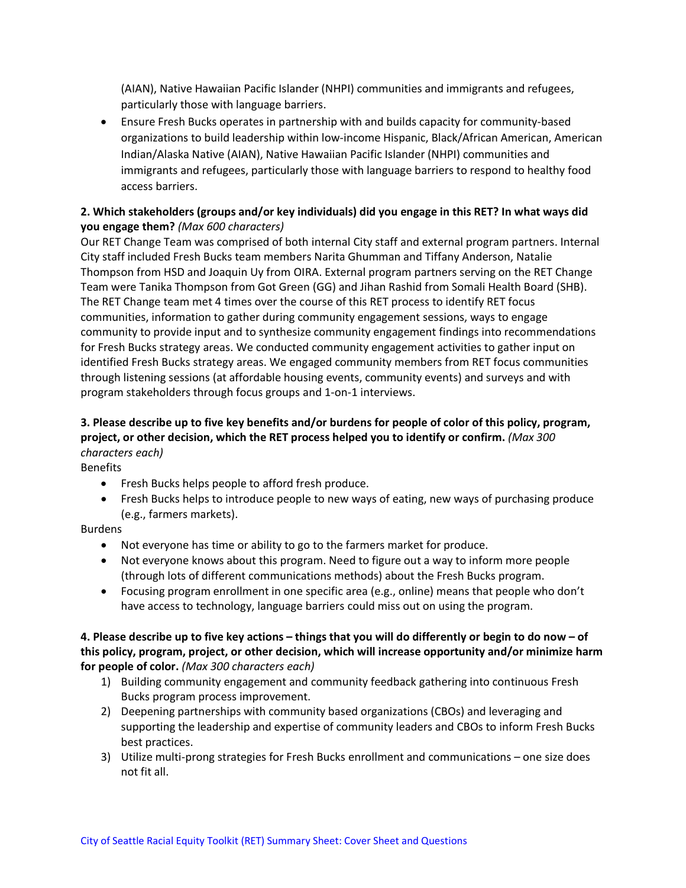(AIAN), Native Hawaiian Pacific Islander (NHPI) communities and immigrants and refugees, particularly those with language barriers.

• Ensure Fresh Bucks operates in partnership with and builds capacity for community-based organizations to build leadership within low-income Hispanic, Black/African American, American Indian/Alaska Native (AIAN), Native Hawaiian Pacific Islander (NHPI) communities and immigrants and refugees, particularly those with language barriers to respond to healthy food access barriers.

### **2. Which stakeholders (groups and/or key individuals) did you engage in this RET? In what ways did you engage them?** *(Max 600 characters)*

Our RET Change Team was comprised of both internal City staff and external program partners. Internal City staff included Fresh Bucks team members Narita Ghumman and Tiffany Anderson, Natalie Thompson from HSD and Joaquin Uy from OIRA. External program partners serving on the RET Change Team were Tanika Thompson from Got Green (GG) and Jihan Rashid from Somali Health Board (SHB). The RET Change team met 4 times over the course of this RET process to identify RET focus communities, information to gather during community engagement sessions, ways to engage community to provide input and to synthesize community engagement findings into recommendations for Fresh Bucks strategy areas. We conducted community engagement activities to gather input on identified Fresh Bucks strategy areas. We engaged community members from RET focus communities through listening sessions (at affordable housing events, community events) and surveys and with program stakeholders through focus groups and 1-on-1 interviews.

# **3. Please describe up to five key benefits and/or burdens for people of color of this policy, program, project, or other decision, which the RET process helped you to identify or confirm.** *(Max 300 characters each)*

Benefits

- Fresh Bucks helps people to afford fresh produce.
- Fresh Bucks helps to introduce people to new ways of eating, new ways of purchasing produce (e.g., farmers markets).

### Burdens

- Not everyone has time or ability to go to the farmers market for produce.
- Not everyone knows about this program. Need to figure out a way to inform more people (through lots of different communications methods) about the Fresh Bucks program.
- Focusing program enrollment in one specific area (e.g., online) means that people who don't have access to technology, language barriers could miss out on using the program.

#### **4. Please describe up to five key actions – things that you will do differently or begin to do now – of this policy, program, project, or other decision, which will increase opportunity and/or minimize harm for people of color.** *(Max 300 characters each)*

- 1) Building community engagement and community feedback gathering into continuous Fresh Bucks program process improvement.
- 2) Deepening partnerships with community based organizations (CBOs) and leveraging and supporting the leadership and expertise of community leaders and CBOs to inform Fresh Bucks best practices.
- 3) Utilize multi-prong strategies for Fresh Bucks enrollment and communications one size does not fit all.